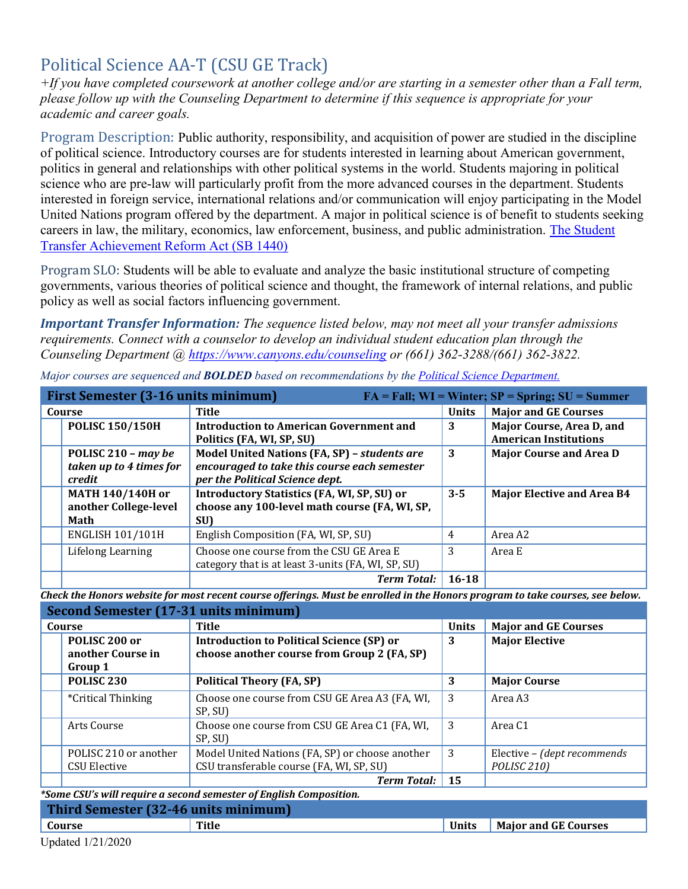# Political Science AA-T (CSU GE Track)

*+If you have completed coursework at another college and/or are starting in a semester other than a Fall term, please follow up with the Counseling Department to determine if this sequence is appropriate for your academic and career goals.* 

Program Description: Public authority, responsibility, and acquisition of power are studied in the discipline of political science. Introductory courses are for students interested in learning about American government, politics in general and relationships with other political systems in the world. Students majoring in political science who are pre-law will particularly profit from the more advanced courses in the department. Students interested in foreign service, international relations and/or communication will enjoy participating in the Model United Nations program offered by the department. A major in political science is of benefit to students seeking careers in law, the military, economics, law enforcement, business, and public administration. [The Student](https://www2.calstate.edu/apply/transfer/Pages/ccc-associate-degree-for-transfer.aspx)  [Transfer Achievement Reform Act \(SB 1440\)](https://www2.calstate.edu/apply/transfer/Pages/ccc-associate-degree-for-transfer.aspx) 

 Program SLO: Students will be able to evaluate and analyze the basic institutional structure of competing governments, various theories of political science and thought, the framework of internal relations, and public policy as well as social factors influencing government.

*Important Transfer Information: The sequence listed below, may not meet all your transfer admissions requirements. Connect with a counselor to develop an individual student education plan through the Counseling Department @<https://www.canyons.edu/counseling>or (661) 362-3288/(661) 362-3822.* 

|        | First Semester (3-16 units minimum)                      |                                                                                                                                 |              | $FA = Fall; WI = Winter; SP = Spring; SU = Summer$        |
|--------|----------------------------------------------------------|---------------------------------------------------------------------------------------------------------------------------------|--------------|-----------------------------------------------------------|
| Course |                                                          | Title                                                                                                                           | <b>Units</b> | <b>Major and GE Courses</b>                               |
|        | <b>POLISC 150/150H</b>                                   | <b>Introduction to American Government and</b><br>Politics (FA, WI, SP, SU)                                                     | 3            | Major Course, Area D, and<br><b>American Institutions</b> |
|        | POLISC 210 - may be<br>taken up to 4 times for<br>credit | Model United Nations (FA, SP) - students are<br>encouraged to take this course each semester<br>per the Political Science dept. | 3            | <b>Major Course and Area D</b>                            |
|        | <b>MATH 140/140H or</b><br>another College-level<br>Math | <b>Introductory Statistics (FA, WI, SP, SU) or</b><br>choose any 100-level math course (FA, WI, SP,<br>SU)                      | $3 - 5$      | <b>Major Elective and Area B4</b>                         |
|        | <b>ENGLISH 101/101H</b>                                  | English Composition (FA, WI, SP, SU)                                                                                            | 4            | Area A2                                                   |
|        | Lifelong Learning                                        | Choose one course from the CSU GE Area E<br>category that is at least 3-units (FA, WI, SP, SU)                                  | 3            | Area E                                                    |
|        |                                                          | <b>Term Total:</b>                                                                                                              | $16 - 18$    |                                                           |

*Major courses are sequenced and BOLDED based on recommendations by the [Political Science Department.](https://www.canyons.edu/academics/politicalscience/index.php)* 

 *Check the Honors website for most recent course offerings. Must be enrolled in the Honors program to take courses, see below.* 

| Second Semester (17-31 units minimum)         |                                                                                                 |              |                                                        |
|-----------------------------------------------|-------------------------------------------------------------------------------------------------|--------------|--------------------------------------------------------|
| Course                                        | Title                                                                                           | <b>Units</b> | <b>Major and GE Courses</b>                            |
| POLISC 200 or<br>another Course in<br>Group 1 | <b>Introduction to Political Science (SP) or</b><br>choose another course from Group 2 (FA, SP) | 3            | <b>Major Elective</b>                                  |
| POLISC <sub>230</sub>                         | <b>Political Theory (FA, SP)</b>                                                                | 3            | <b>Major Course</b>                                    |
| <i>*Critical Thinking</i>                     | Choose one course from CSU GE Area A3 (FA, WI,<br>SP, SU)                                       | -3           | Area A3                                                |
| Arts Course                                   | Choose one course from CSU GE Area C1 (FA, WI,<br>SP, SU)                                       | 3            | Area C <sub>1</sub>                                    |
| POLISC 210 or another<br>CSU Elective         | Model United Nations (FA, SP) or choose another<br>CSU transferable course (FA, WI, SP, SU)     | 3            | Elective - (dept recommends<br>POLISC <sub>210</sub> ) |
|                                               | <b>Term Total:</b>                                                                              | 15           |                                                        |

 *\*Some CSU's will require a second semester of English Composition.* **Course Title Times Accounts Title Times Accounts Accounts Major and GE Courses Third Semester (32-46 units minimum)**